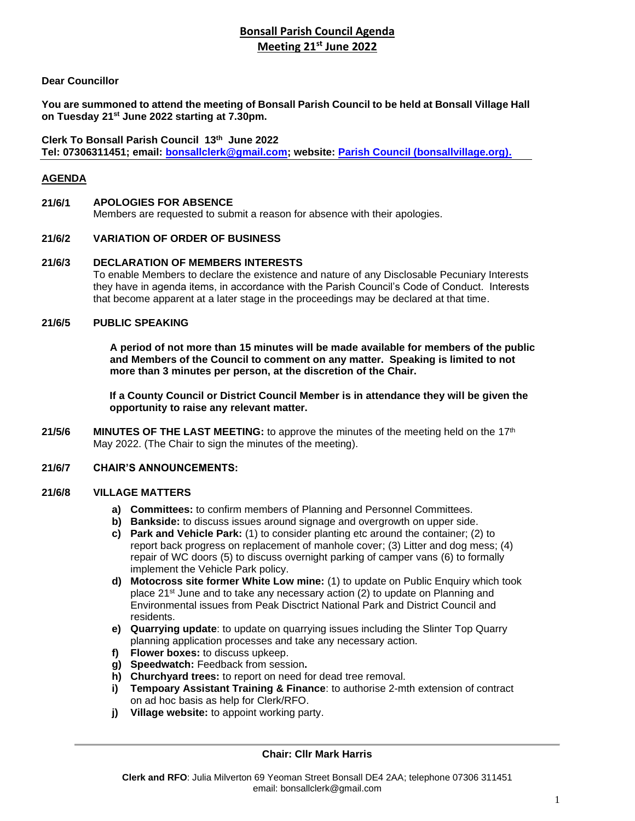# **Bonsall Parish Council Agenda Meeting 21st June 2022**

# **Dear Councillor**

**You are summoned to attend the meeting of Bonsall Parish Council to be held at Bonsall Village Hall on Tuesday 21st June 2022 starting at 7.30pm.**

**Clerk To Bonsall Parish Council 13th June 2022 Tel: 07306311451; email: [bonsallclerk@gmail.com;](mailto:bonsallclerk@gmail.com) website: [Parish Council \(bonsallvillage.org\).](http://www.bonsallvillage.org/parish-council)**

# **AGENDA**

### **21/6/1 APOLOGIES FOR ABSENCE**

Members are requested to submit a reason for absence with their apologies.

### **21/6/2 VARIATION OF ORDER OF BUSINESS**

#### **21/6/3 DECLARATION OF MEMBERS INTERESTS**

To enable Members to declare the existence and nature of any Disclosable Pecuniary Interests they have in agenda items, in accordance with the Parish Council's Code of Conduct. Interests that become apparent at a later stage in the proceedings may be declared at that time.

#### **21/6/5 PUBLIC SPEAKING**

**A period of not more than 15 minutes will be made available for members of the public and Members of the Council to comment on any matter. Speaking is limited to not more than 3 minutes per person, at the discretion of the Chair.**

**If a County Council or District Council Member is in attendance they will be given the opportunity to raise any relevant matter.** 

21/5/6 **MINUTES OF THE LAST MEETING:** to approve the minutes of the meeting held on the 17<sup>th</sup> May 2022. (The Chair to sign the minutes of the meeting).

### **21/6/7 CHAIR'S ANNOUNCEMENTS:**

#### **21/6/8 VILLAGE MATTERS**

- **a) Committees:** to confirm members of Planning and Personnel Committees.
- **b) Bankside:** to discuss issues around signage and overgrowth on upper side.
- **c) Park and Vehicle Park:** (1) to consider planting etc around the container; (2) to report back progress on replacement of manhole cover; (3) Litter and dog mess; (4) repair of WC doors (5) to discuss overnight parking of camper vans (6) to formally implement the Vehicle Park policy.
- **d) Motocross site former White Low mine:** (1) to update on Public Enquiry which took place 21st June and to take any necessary action (2) to update on Planning and Environmental issues from Peak Disctrict National Park and District Council and residents.
- **e) Quarrying update**: to update on quarrying issues including the Slinter Top Quarry planning application processes and take any necessary action.
- **f) Flower boxes:** to discuss upkeep.
- **g) Speedwatch:** Feedback from session**.**
- **h) Churchyard trees:** to report on need for dead tree removal.
- **i) Tempoary Assistant Training & Finance**: to authorise 2-mth extension of contract on ad hoc basis as help for Clerk/RFO.
- **j) Village website:** to appoint working party.

### **Chair: Cllr Mark Harris**